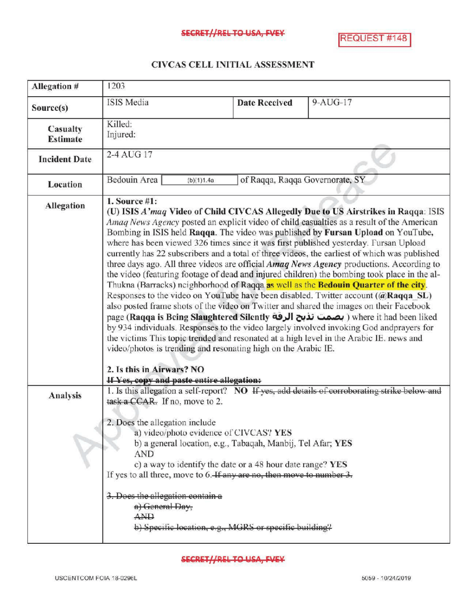## CIVCAS CELL INITIALASSESSMENT

| Allegation #                | 1203                                                                                                                                                                                                                                                                                                                                                                                                                                                                                                                                                                                                                                                                                                                                                                                                                                                                                                                                                                                                                                                                                                                                                                                                                                                                                                                                                                          |                                 |                                                                                               |
|-----------------------------|-------------------------------------------------------------------------------------------------------------------------------------------------------------------------------------------------------------------------------------------------------------------------------------------------------------------------------------------------------------------------------------------------------------------------------------------------------------------------------------------------------------------------------------------------------------------------------------------------------------------------------------------------------------------------------------------------------------------------------------------------------------------------------------------------------------------------------------------------------------------------------------------------------------------------------------------------------------------------------------------------------------------------------------------------------------------------------------------------------------------------------------------------------------------------------------------------------------------------------------------------------------------------------------------------------------------------------------------------------------------------------|---------------------------------|-----------------------------------------------------------------------------------------------|
| Source(s)                   | <b>ISIS</b> Media                                                                                                                                                                                                                                                                                                                                                                                                                                                                                                                                                                                                                                                                                                                                                                                                                                                                                                                                                                                                                                                                                                                                                                                                                                                                                                                                                             | <b>Date Received</b>            | $9-AUG-17$                                                                                    |
| Casualty<br><b>Estimate</b> | Killed:<br>Injured:                                                                                                                                                                                                                                                                                                                                                                                                                                                                                                                                                                                                                                                                                                                                                                                                                                                                                                                                                                                                                                                                                                                                                                                                                                                                                                                                                           |                                 |                                                                                               |
| <b>Incident Date</b>        | 2-4 AUG 17                                                                                                                                                                                                                                                                                                                                                                                                                                                                                                                                                                                                                                                                                                                                                                                                                                                                                                                                                                                                                                                                                                                                                                                                                                                                                                                                                                    |                                 |                                                                                               |
| <b>Location</b>             | Bedouin Area<br>(b)(1)1.4a                                                                                                                                                                                                                                                                                                                                                                                                                                                                                                                                                                                                                                                                                                                                                                                                                                                                                                                                                                                                                                                                                                                                                                                                                                                                                                                                                    | of Raqqa, Raqqa Governorate, SY |                                                                                               |
| <b>Allegation</b>           | 1. Source $#1$ :<br>(U) ISIS A'maq Video of Child CIVCAS Allegedly Due to US Airstrikes in Raqqa: ISIS<br>Amaq News Agency posted an explicit video of child casualties as a result of the American<br>Bombing in ISIS held Raqqa. The video was published by Fursan Upload on YouTube,<br>where has been viewed 326 times since it was first published yesterday. Fursan Upload<br>currently has 22 subscribers and a total of three videos, the earliest of which was published<br>three days ago. All three videos are official Amag News Agency productions. According to<br>the video (featuring footage of dead and injured children) the bombing took place in the al-<br>Thukna (Barracks) neighborhood of Raqqa as well as the Bedouin Quarter of the city.<br>Responses to the video on YouTube have been disabled. Twitter account (@Raqqa SL)<br>also posted frame shots of the video on Twitter and shared the images on their Facebook<br>page (Raqqa is Being Slaughtered Silently بصمت تذبح الرقة) where it had been liked<br>by 934 individuals. Responses to the video largely involved invoking God and prayers for<br>the victims This topic trended and resonated at a high level in the Arabic IE. news and<br>video/photos is trending and resonating high on the Arabic IE.<br>2. Is this in Airwars? NO<br>If Yes, copy and paste entire allegation: |                                 |                                                                                               |
| <b>Analysis</b>             | task a CCAR. If no, move to 2.<br>2. Does the allegation include                                                                                                                                                                                                                                                                                                                                                                                                                                                                                                                                                                                                                                                                                                                                                                                                                                                                                                                                                                                                                                                                                                                                                                                                                                                                                                              |                                 | 1. Is this allegation a self-report? NO If yes, add details of corroborating strike below and |
|                             | a) video/photo evidence of CIVCAS? YES<br>b) a general location, e.g., Tabaqah, Manbij, Tel Afar; YES<br><b>AND</b><br>c) a way to identify the date or a 48 hour date range? YES<br>If yes to all three, move to 6. If any are no, then move to number 3.<br>3. Does the allegation contain a<br>a) General Day,<br>$A$ <sub>ND</sub><br>b) Specific location, e.g., MGRS or specific building?                                                                                                                                                                                                                                                                                                                                                                                                                                                                                                                                                                                                                                                                                                                                                                                                                                                                                                                                                                              |                                 |                                                                                               |

**SECRET//REL TO USA, FVEY**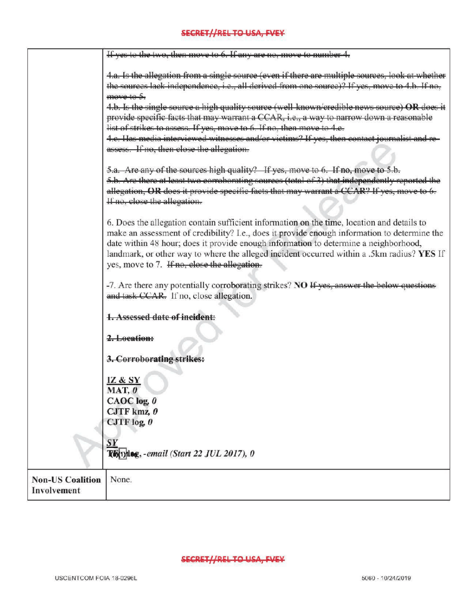## **SECRET//REL TO USA, FVEY**

|                                        | If yes to the two, then move to 6. If any are no, move to number 4.                                                                                                                                                                                                                                                                                                                                                              |
|----------------------------------------|----------------------------------------------------------------------------------------------------------------------------------------------------------------------------------------------------------------------------------------------------------------------------------------------------------------------------------------------------------------------------------------------------------------------------------|
|                                        | 4.a. Is the allegation from a single source (even if there are multiple sources, look at whether<br>the sources lack independence, i.e., all derived from one source)? If yes, move to 4.b. If no,<br>move to 5.                                                                                                                                                                                                                 |
|                                        | 4.b. Is the single source a high quality source (well known/credible news source) OR does it<br>provide specific facts that may warrant a CCAR, i.e., a way to narrow down a reasonable<br>list of strikes to assess. If yes, move to 6. If no, then move to 4.c.                                                                                                                                                                |
|                                        | 4.c. Has media interviewed witnesses and/or victims? If yes, then contact journalist and re<br>assess. If no, then close the allegation.                                                                                                                                                                                                                                                                                         |
|                                        | 5.a. Are any of the sources high quality? If yes, move to 6. If no, move to 5.b.<br>5.b. Are there at least two correhorating sources (total of 3) that independently reported the<br>allegation, OR does it provide specific facts that may warrant a CCAR? If yes, move to 6.<br>If no, close the allegation.                                                                                                                  |
|                                        | 6. Does the allegation contain sufficient information on the time, location and details to<br>make an assessment of credibility? I.e., does it provide enough information to determine the<br>date within 48 hour; does it provide enough information to determine a neighborhood,<br>landmark, or other way to where the alleged incident occurred within a .5km radius? YES If<br>yes, move to 7. If no, close the allegation. |
|                                        | -7. Are there any potentially corroborating strikes? NO If yes, answer the below questions<br>and task CCAR. If no, close allegation.                                                                                                                                                                                                                                                                                            |
|                                        | 1. Assessed date of incident:                                                                                                                                                                                                                                                                                                                                                                                                    |
|                                        | 2. Location:                                                                                                                                                                                                                                                                                                                                                                                                                     |
|                                        | 3. Corroborating strikes:                                                                                                                                                                                                                                                                                                                                                                                                        |
|                                        | IZ & SY<br>MAT, 0                                                                                                                                                                                                                                                                                                                                                                                                                |
|                                        | CAOC log. 0<br>CJTF kmz, 0                                                                                                                                                                                                                                                                                                                                                                                                       |
|                                        | CJTF $log_2 0$                                                                                                                                                                                                                                                                                                                                                                                                                   |
|                                        | $\mathbf{S}\mathbf{Y}$<br>Kb(1) log, - email (Start 22 JUL 2017), 0                                                                                                                                                                                                                                                                                                                                                              |
| <b>Non-US Coalition</b><br>Involvement | None.                                                                                                                                                                                                                                                                                                                                                                                                                            |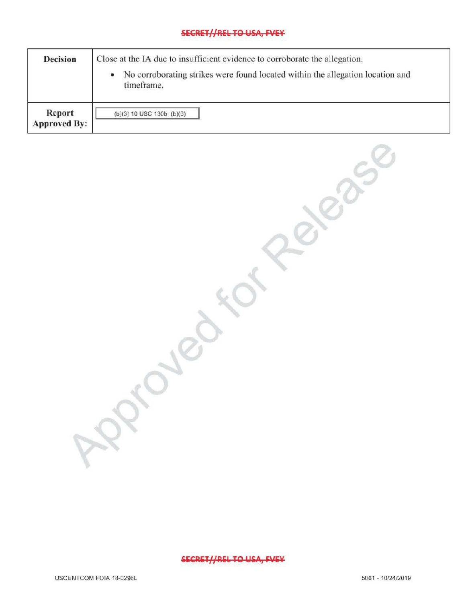## SECRET//REL TO USA, FVEY

| <b>Decision</b>               | Close at the IA due to insufficient evidence to corroborate the allegation.<br>No corroborating strikes were found located within the allegation location and<br>۰<br>timeframe. |  |
|-------------------------------|----------------------------------------------------------------------------------------------------------------------------------------------------------------------------------|--|
| Report<br><b>Approved By:</b> | $(b)(3)$ 10 USC 130b; $(b)(6)$                                                                                                                                                   |  |

SECRET//REL TO USA, EVEY

 $\mathcal{R}$ 

forRelease